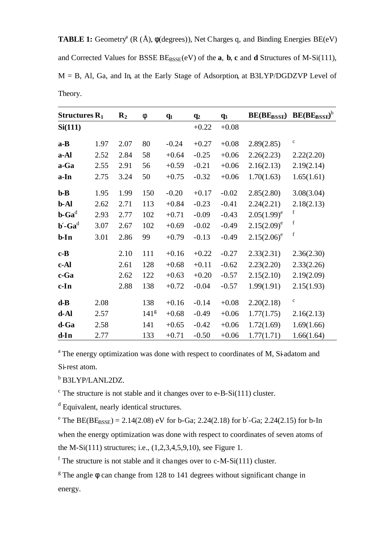**TABLE 1:** Geometry<sup>a</sup> ( $R$  ( $\AA$ ),  $\phi$ (degrees)), Net Charges q, and Binding Energies BE(eV) and Corrected Values for BSSE  $BE_{BSSE}(eV)$  of the **a**, **b**, **c** and **d** Structures of M-Si(111),  $M = B$ , Al, Ga, and In, at the Early Stage of Adsorption, at B3LYP/DGDZVP Level of Theory.

| Structures $R_1$                  |      | $\mathbf{R}_2$ | $\mathbf f$      | $q_1$   | $q_2$   | q <sub>3</sub> | <b>BE(BEBSSE)</b> | $BE(BE_{BSSE})^b$ |
|-----------------------------------|------|----------------|------------------|---------|---------|----------------|-------------------|-------------------|
| Si(111)                           |      |                |                  |         | $+0.22$ | $+0.08$        |                   |                   |
| $a - B$                           | 1.97 | 2.07           | 80               | $-0.24$ | $+0.27$ | $+0.08$        | 2.89(2.85)        | $\mathbf c$       |
| a-Al                              | 2.52 | 2.84           | 58               | $+0.64$ | $-0.25$ | $+0.06$        | 2.26(2.23)        | 2.22(2.20)        |
| a-Ga                              | 2.55 | 2.91           | 56               | $+0.59$ | $-0.21$ | $+0.06$        | 2.16(2.13)        | 2.19(2.14)        |
| a-In                              | 2.75 | 3.24           | 50               | $+0.75$ | $-0.32$ | $+0.06$        | 1.70(1.63)        | 1.65(1.61)        |
| $b-B$                             | 1.95 | 1.99           | 150              | $-0.20$ | $+0.17$ | $-0.02$        | 2.85(2.80)        | 3.08(3.04)        |
| b-Al                              | 2.62 | 2.71           | 113              | $+0.84$ | $-0.23$ | $-0.41$        | 2.24(2.21)        | 2.18(2.13)        |
| $\mathbf{b}\text{-}\mathbf{Ga}^d$ | 2.93 | 2.77           | 102              | $+0.71$ | $-0.09$ | $-0.43$        | $2.05(1.99)^e$    | f                 |
| $\mathbf{b}'$ -Ga <sup>d</sup>    | 3.07 | 2.67           | 102              | $+0.69$ | $-0.02$ | $-0.49$        | $2.15(2.09)^e$    | f                 |
| $b$ -In                           | 3.01 | 2.86           | 99               | $+0.79$ | $-0.13$ | $-0.49$        | $2.15(2.06)^e$    | $\mathbf f$       |
| $c - B$                           |      | 2.10           | 111              | $+0.16$ | $+0.22$ | $-0.27$        | 2.33(2.31)        | 2.36(2.30)        |
| c-Al                              |      | 2.61           | 128              | $+0.68$ | $+0.11$ | $-0.62$        | 2.23(2.20)        | 2.33(2.26)        |
| c-Ga                              |      | 2.62           | 122              | $+0.63$ | $+0.20$ | $-0.57$        | 2.15(2.10)        | 2.19(2.09)        |
| $c-In$                            |      | 2.88           | 138              | $+0.72$ | $-0.04$ | $-0.57$        | 1.99(1.91)        | 2.15(1.93)        |
| $d-B$                             | 2.08 |                | 138              | $+0.16$ | $-0.14$ | $+0.08$        | 2.20(2.18)        | $\mathbf c$       |
| $d-Al$                            | 2.57 |                | 141 <sup>g</sup> | $+0.68$ | $-0.49$ | $+0.06$        | 1.77(1.75)        | 2.16(2.13)        |
| d-Ga                              | 2.58 |                | 141              | $+0.65$ | $-0.42$ | $+0.06$        | 1.72(1.69)        | 1.69(1.66)        |
| $d-In$                            | 2.77 |                | 133              | $+0.71$ | $-0.50$ | $+0.06$        | 1.77(1.71)        | 1.66(1.64)        |

<sup>a</sup>The energy optimization was done with respect to coordinates of M, Si-adatom and Si-rest atom.

<sup>b</sup> B3LYP/LANL2DZ.

 $\degree$  The structure is not stable and it changes over to e-B-Si(111) cluster.

<sup>d</sup> Equivalent, nearly identical structures.

<sup>e</sup> The BE(BE<sub>BSSE</sub>) = 2.14(2.08) eV for b-Ga; 2.24(2.18) for b'-Ga; 2.24(2.15) for b-In when the energy optimization was done with respect to coordinates of seven atoms of the M-Si(111) structures; i.e., (1,2,3,4,5,9,10), see Figure 1.

 $f$  The structure is not stable and it changes over to c-M-Si(111) cluster.

<sup>g</sup> The angle  $\phi$  can change from 128 to 141 degrees without significant change in energy.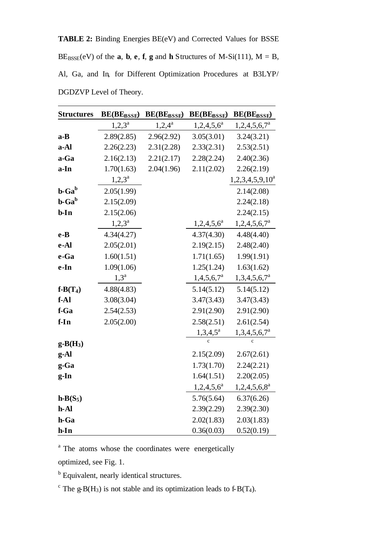**TABLE 2:** Binding Energies BE(eV) and Corrected Values for BSSE  $BE_{BSSE}(eV)$  of the **a**, **b**, **e**, **f**, **g** and **h** Structures of M-Si(111), M = B, Al, Ga, and In, for Different Optimization Procedures at B3LYP/ DGDZVP Level of Theory.

| <b>Structures</b>                            | <b>BE(BE</b> BSSE) | <b>BE(BEBSSE)</b> | <b>BE(BEBSSE)</b> | <b>BE(BEBSSE)</b>     |
|----------------------------------------------|--------------------|-------------------|-------------------|-----------------------|
|                                              | $1,2,3^a$          | $1,2,4^a$         | $1,2,4,5,6^a$     | $1,2,4,5,6,7^a$       |
| $a - B$                                      | 2.89(2.85)         | 2.96(2.92)        | 3.05(3.01)        | 3.24(3.21)            |
| a-Al                                         | 2.26(2.23)         | 2.31(2.28)        | 2.33(2.31)        | 2.53(2.51)            |
| a-Ga                                         | 2.16(2.13)         | 2.21(2.17)        | 2.28(2.24)        | 2.40(2.36)            |
| a-In                                         | 1.70(1.63)         | 2.04(1.96)        | 2.11(2.02)        | 2.26(2.19)            |
|                                              | $1,2,3^a$          |                   |                   | $1,2,3,4,5,9,10^a$    |
| $\mathbf{b}\text{-}\mathbf{Ga}^{\mathbf{b}}$ | 2.05(1.99)         |                   |                   | 2.14(2.08)            |
| $\mathbf{b}\text{-}\mathbf{Ga}^{\mathbf{b}}$ | 2.15(2.09)         |                   |                   | 2.24(2.18)            |
| $b$ -In                                      | 2.15(2.06)         |                   |                   | 2.24(2.15)            |
|                                              | $1,2,3^a$          |                   | $1,2,4,5,6^a$     | $1,2,4,5,6,7^a$       |
| $e-B$                                        | 4.34(4.27)         |                   | 4.37(4.30)        | 4.48(4.40)            |
| e-Al                                         | 2.05(2.01)         |                   | 2.19(2.15)        | 2.48(2.40)            |
| e-Ga                                         | 1.60(1.51)         |                   | 1.71(1.65)        | 1.99(1.91)            |
| e-In                                         | 1.09(1.06)         |                   | 1.25(1.24)        | 1.63(1.62)            |
|                                              | $1,3^{\rm a}$      |                   | $1,4,5,6,7^a$     | $1,3,4,5,6,7^a$       |
| $f-B(T_4)$                                   | 4.88(4.83)         |                   | 5.14(5.12)        | 5.14(5.12)            |
| $f-Al$                                       | 3.08(3.04)         |                   | 3.47(3.43)        | 3.47(3.43)            |
| f-Ga                                         | 2.54(2.53)         |                   | 2.91(2.90)        | 2.91(2.90)            |
| $f-In$                                       | 2.05(2.00)         |                   | 2.58(2.51)        | 2.61(2.54)            |
|                                              |                    |                   | $1,3,4,5^a$       | $1,3,4,5,6,7^{\circ}$ |
| $g-B(H_3)$                                   |                    |                   |                   |                       |
| g-Al                                         |                    |                   | 2.15(2.09)        | 2.67(2.61)            |
| g-Ga                                         |                    |                   | 1.73(1.70)        | 2.24(2.21)            |
| $g$ -In                                      |                    |                   | 1.64(1.51)        | 2.20(2.05)            |
|                                              |                    |                   | $1,2,4,5,6^a$     | $1,2,4,5,6,8^a$       |
| $h-B(S_5)$                                   |                    |                   | 5.76(5.64)        | 6.37(6.26)            |
| h-Al                                         |                    |                   | 2.39(2.29)        | 2.39(2.30)            |
| h-Ga                                         |                    |                   | 2.02(1.83)        | 2.03(1.83)            |
| $h-In$                                       |                    |                   | 0.36(0.03)        | 0.52(0.19)            |

<sup>a</sup> The atoms whose the coordinates were energetically

optimized, see Fig. 1.

<sup>b</sup> Equivalent, nearly identical structures.

<sup>c</sup> The g-B(H<sub>3</sub>) is not stable and its optimization leads to f-B(T<sub>4</sub>).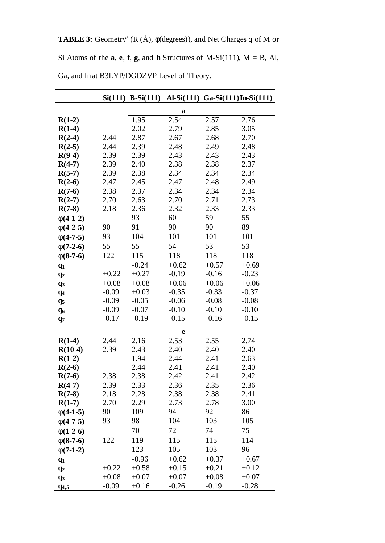**TABLE 3:** Geometry<sup>a</sup> ( $R(A)$ ,  $\phi$ (degrees)), and Net Charges q of M or

Si Atoms of the  $a$ ,  $e$ ,  $f$ ,  $g$ , and  $h$  Structures of M-Si(111),  $M = B$ , Al,

|                |         | $Si(111) B-Si(111)$ |             | Al-Si(111) Ga-Si(111) In-Si(111) |         |
|----------------|---------|---------------------|-------------|----------------------------------|---------|
|                |         |                     | $\mathbf a$ |                                  |         |
| $R(1-2)$       |         | 1.95                | 2.54        | 2.57                             | 2.76    |
| $R(1-4)$       |         | 2.02                | 2.79        | 2.85                             | 3.05    |
| $R(2-4)$       | 2.44    | 2.87                | 2.67        | 2.68                             | 2.70    |
| $R(2-5)$       | 2.44    | 2.39                | 2.48        | 2.49                             | 2.48    |
| $R(9-4)$       | 2.39    | 2.39                | 2.43        | 2.43                             | 2.43    |
| $R(4-7)$       | 2.39    | 2.40                | 2.38        | 2.38                             | 2.37    |
| $R(5-7)$       | 2.39    | 2.38                | 2.34        | 2.34                             | 2.34    |
| $R(2-6)$       | 2.47    | 2.45                | 2.47        | 2.48                             | 2.49    |
| $R(7-6)$       | 2.38    | 2.37                | 2.34        | 2.34                             | 2.34    |
| $R(2-7)$       | 2.70    | 2.63                | 2.70        | 2.71                             | 2.73    |
| $R(7-8)$       | 2.18    | 2.36                | 2.32        | 2.33                             | 2.33    |
| $f(4-1-2)$     |         | 93                  | 60          | 59                               | 55      |
| $f(4-2-5)$     | 90      | 91                  | 90          | 90                               | 89      |
| $f(4-7-5)$     | 93      | 104                 | 101         | 101                              | 101     |
| $f(7-2-6)$     | 55      | 55                  | 54          | 53                               | 53      |
| $f(8-7-6)$     | 122     | 115                 | 118         | 118                              | 118     |
| $q_1$          |         | $-0.24$             | $+0.62$     | $+0.57$                          | $+0.69$ |
| $q_2$          | $+0.22$ | $+0.27$             | $-0.19$     | $-0.16$                          | $-0.23$ |
| q <sub>3</sub> | $+0.08$ | $+0.08$             | $+0.06$     | $+0.06$                          | $+0.06$ |
| $q_4$          | $-0.09$ | $+0.03$             | $-0.35$     | $-0.33$                          | $-0.37$ |
| q <sub>5</sub> | $-0.09$ | $-0.05$             | $-0.06$     | $-0.08$                          | $-0.08$ |
| $q_6$          | $-0.09$ | $-0.07$             | $-0.10$     | $-0.10$                          | $-0.10$ |
| $q_7$          | $-0.17$ | $-0.19$             | $-0.15$     | $-0.16$                          | $-0.15$ |
|                |         |                     | e           |                                  |         |
| $R(1-4)$       | 2.44    | 2.16                | 2.53        | 2.55                             | 2.74    |
| $R(10-4)$      | 2.39    | 2.43                | 2.40        | 2.40                             | 2.40    |
| $R(1-2)$       |         | 1.94                | 2.44        | 2.41                             | 2.63    |
| $R(2-6)$       |         | 2.44                | 2.41        | 2.41                             | 2.40    |
| $R(7-6)$       | 2.38    | 2.38                | 2.42        | 2.41                             | 2.42    |
| $R(4-7)$       | 2.39    | 2.33                | 2.36        | 2.35                             | 2.36    |
| $R(7-8)$       | 2.18    | 2.28                | 2.38        | 2.38                             | 2.41    |
| $R(1-7)$       | 2.70    | 2.29                | 2.73        | 2.78                             | 3.00    |
| $f(4-1-5)$     | 90      | 109                 | 94          | 92                               | 86      |
| $f(4-7-5)$     | 93      | 98                  | 104         | 103                              | 105     |
| $f(1-2-6)$     |         | 70                  | 72          | 74                               | 75      |
| $f(8-7-6)$     | 122     | 119                 | 115         | 115                              | 114     |
| $f(7-1-2)$     |         | 123                 | 105         | 103                              | 96      |
| $q_1$          |         | $-0.96$             | $+0.62$     | $+0.37$                          | $+0.67$ |
| $q_2$          | $+0.22$ | $+0.58$             | $+0.15$     | $+0.21$                          | $+0.12$ |
| q <sub>3</sub> | $+0.08$ | $+0.07$             | $+0.07$     | $+0.08$                          | $+0.07$ |
| $q_{4,5}$      | $-0.09$ | $+0.16$             | $-0.26$     | $-0.19$                          | $-0.28$ |

Ga, and In at B3LYP/DGDZVP Level of Theory.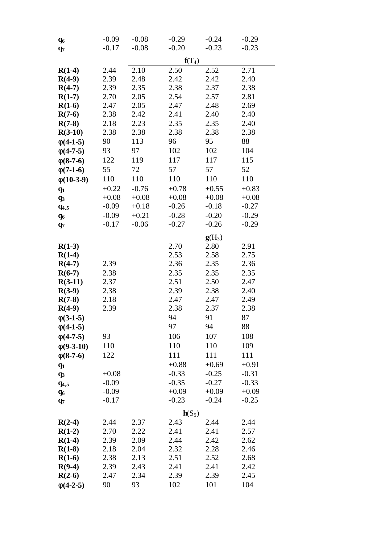| $q_6$          | $-0.09$ | $-0.08$ | $-0.29$  | $-0.24$  | $-0.29$           |
|----------------|---------|---------|----------|----------|-------------------|
| $q_7$          | $-0.17$ | $-0.08$ | $-0.20$  | $-0.23$  | $-0.23$           |
|                |         |         | $f(T_4)$ |          |                   |
| $R(1-4)$       | 2.44    | 2.10    | 2.50     | 2.52     | $\overline{2.71}$ |
| $R(4-9)$       | 2.39    | 2.48    | 2.42     | 2.42     | 2.40              |
| $R(4-7)$       | 2.39    | 2.35    | 2.38     | 2.37     | 2.38              |
| $R(1-7)$       | 2.70    | 2.05    | 2.54     | 2.57     | 2.81              |
| $R(1-6)$       | 2.47    | 2.05    | 2.47     | 2.48     | 2.69              |
| $R(7-6)$       | 2.38    | 2.42    | 2.41     | 2.40     | 2.40              |
| $R(7-8)$       | 2.18    | 2.23    | 2.35     | 2.35     | 2.40              |
| $R(3-10)$      | 2.38    | 2.38    | 2.38     | 2.38     | 2.38              |
| $f(4-1-5)$     | 90      | 113     | 96       | 95       | 88                |
| $f(4-7-5)$     | 93      | 97      | 102      | 102      | 104               |
| $f(8-7-6)$     | 122     | 119     | 117      | 117      | 115               |
| $f(7-1-6)$     | 55      | 72      | 57       | 57       | 52                |
| $f(10-3-9)$    | 110     | 110     | 110      | 110      | 110               |
| $q_1$          | $+0.22$ | $-0.76$ | $+0.78$  | $+0.55$  | $+0.83$           |
| $q_3$          | $+0.08$ | $+0.08$ | $+0.08$  | $+0.08$  | $+0.08$           |
| $q_{4,5}$      | $-0.09$ | $+0.18$ | $-0.26$  | $-0.18$  | $-0.27$           |
| $q_6$          | $-0.09$ | $+0.21$ | $-0.28$  | $-0.20$  | $-0.29$           |
| $q_7$          | $-0.17$ | $-0.06$ | $-0.27$  | $-0.26$  | $-0.29$           |
|                |         |         |          | $g(H_3)$ |                   |
| $R(1-3)$       |         |         | 2.70     | 2.80     | 2.91              |
| $R(1-4)$       |         |         | 2.53     | 2.58     | 2.75              |
| $R(4-7)$       | 2.39    |         | 2.36     | 2.35     | 2.36              |
| $R(6-7)$       | 2.38    |         | 2.35     | 2.35     | 2.35              |
| $R(3-11)$      | 2.37    |         | 2.51     | 2.50     | 2.47              |
| $R(3-9)$       | 2.38    |         | 2.39     | 2.38     | 2.40              |
| $R(7-8)$       | 2.18    |         | 2.47     | 2.47     | 2.49              |
| $R(4-9)$       | 2.39    |         | 2.38     | 2.37     | 2.38              |
| $f(3-1-5)$     |         |         | 94       | 91       | 87                |
| $f(4-1-5)$     |         |         | 97       | 94       | 88                |
| $f(4-7-5)$     | 93      |         | 106      | 107      | 108               |
| $f(9-3-10)$    | 110     |         | 110      | 110      | 109               |
| $f(8-7-6)$     | 122     |         | 111      | 111      | 111               |
| $q_1$          |         |         | $+0.88$  | $+0.69$  | $+0.91$           |
| q <sub>3</sub> | $+0.08$ |         | $-0.33$  | $-0.25$  | $-0.31$           |
| $q_{4,5}$      | $-0.09$ |         | $-0.35$  | $-0.27$  | $-0.33$           |
| $q_6$          | $-0.09$ |         | $+0.09$  | $+0.09$  | $+0.09$           |
| $q_7$          | $-0.17$ |         | $-0.23$  | $-0.24$  | $-0.25$           |
|                |         |         | $h(S_5)$ |          |                   |
| $R(2-4)$       | 2.44    | 2.37    | 2.43     | 2.44     | 2.44              |
| $R(1-2)$       | 2.70    | 2.22    | 2.41     | 2.41     | 2.57              |
| $R(1-4)$       | 2.39    | 2.09    | 2.44     | 2.42     | 2.62              |
| $R(1-8)$       | 2.18    | 2.04    | 2.32     | 2.28     | 2.46              |
| $R(1-6)$       | 2.38    | 2.13    | 2.51     | 2.52     | 2.68              |
| $R(9-4)$       | 2.39    | 2.43    | 2.41     | 2.41     | 2.42              |
| $R(2-6)$       | 2.47    | 2.34    | 2.39     | 2.39     | 2.45              |
| $f(4-2-5)$     | 90      | 93      | 102      | 101      | 104               |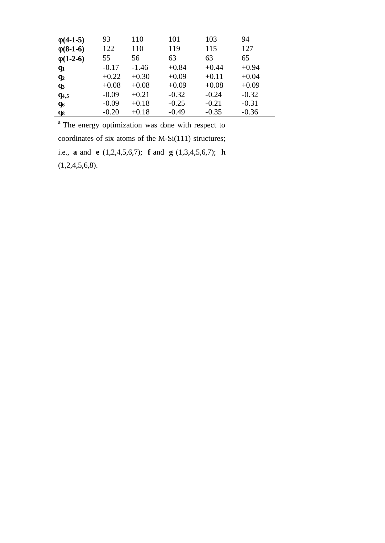| $f(4-1-5)$     | 93      | 110     | 101     | 103     | 94      |
|----------------|---------|---------|---------|---------|---------|
| $f(8-1-6)$     | 122     | 110     | 119     | 115     | 127     |
| $f(1-2-6)$     | 55      | 56      | 63      | 63      | 65      |
| $q_1$          | $-0.17$ | $-1.46$ | $+0.84$ | $+0.44$ | $+0.94$ |
| q <sub>2</sub> | $+0.22$ | $+0.30$ | $+0.09$ | $+0.11$ | $+0.04$ |
| q <sub>3</sub> | $+0.08$ | $+0.08$ | $+0.09$ | $+0.08$ | $+0.09$ |
| $q_{4,5}$      | $-0.09$ | $+0.21$ | $-0.32$ | $-0.24$ | $-0.32$ |
| q <sub>6</sub> | $-0.09$ | $+0.18$ | $-0.25$ | $-0.21$ | $-0.31$ |
| q <sub>8</sub> | $-0.20$ | $+0.18$ | $-0.49$ | $-0.35$ | $-0.36$ |

<sup>a</sup> The energy optimization was done with respect to coordinates of six atoms of the M-Si(111) structures; i.e., **a** and **e** (1,2,4,5,6,7); **f** and **g** (1,3,4,5,6,7); **h**  $(1,2,4,5,6,8).$